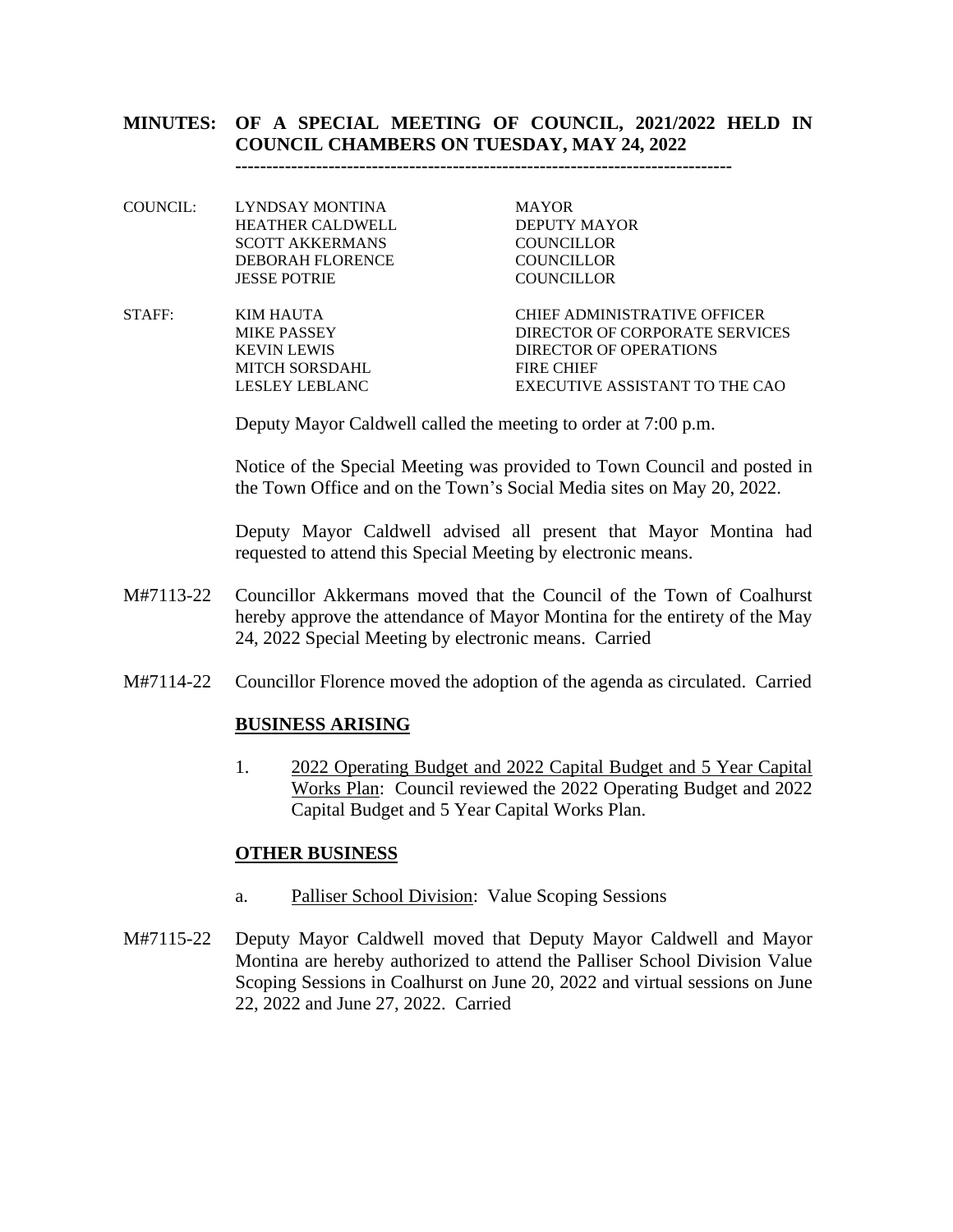## **MINUTES: OF A SPECIAL MEETING OF COUNCIL, 2021/2022 HELD IN COUNCIL CHAMBERS ON TUESDAY, MAY 24, 2022**

**--------------------------------------------------------------------------------**

- COUNCIL: LYNDSAY MONTINA MAYOR HEATHER CALDWELL DEPUTY MAYOR SCOTT AKKERMANS COUNCILLOR DEBORAH FLORENCE COUNCILLOR JESSE POTRIE COUNCILLOR
- STAFF: KIM HAUTA CHIEF ADMINISTRATIVE OFFICER MIKE PASSEY DIRECTOR OF CORPORATE SERVICES KEVIN LEWIS DIRECTOR OF OPERATIONS MITCH SORSDAHL FIRE CHIEF LESLEY LEBLANC EXECUTIVE ASSISTANT TO THE CAO

Deputy Mayor Caldwell called the meeting to order at 7:00 p.m.

Notice of the Special Meeting was provided to Town Council and posted in the Town Office and on the Town's Social Media sites on May 20, 2022.

Deputy Mayor Caldwell advised all present that Mayor Montina had requested to attend this Special Meeting by electronic means.

- M#7113-22 Councillor Akkermans moved that the Council of the Town of Coalhurst hereby approve the attendance of Mayor Montina for the entirety of the May 24, 2022 Special Meeting by electronic means. Carried
- M#7114-22 Councillor Florence moved the adoption of the agenda as circulated. Carried

## **BUSINESS ARISING**

1. 2022 Operating Budget and 2022 Capital Budget and 5 Year Capital Works Plan: Council reviewed the 2022 Operating Budget and 2022 Capital Budget and 5 Year Capital Works Plan.

## **OTHER BUSINESS**

- a. Palliser School Division: Value Scoping Sessions
- M#7115-22 Deputy Mayor Caldwell moved that Deputy Mayor Caldwell and Mayor Montina are hereby authorized to attend the Palliser School Division Value Scoping Sessions in Coalhurst on June 20, 2022 and virtual sessions on June 22, 2022 and June 27, 2022. Carried